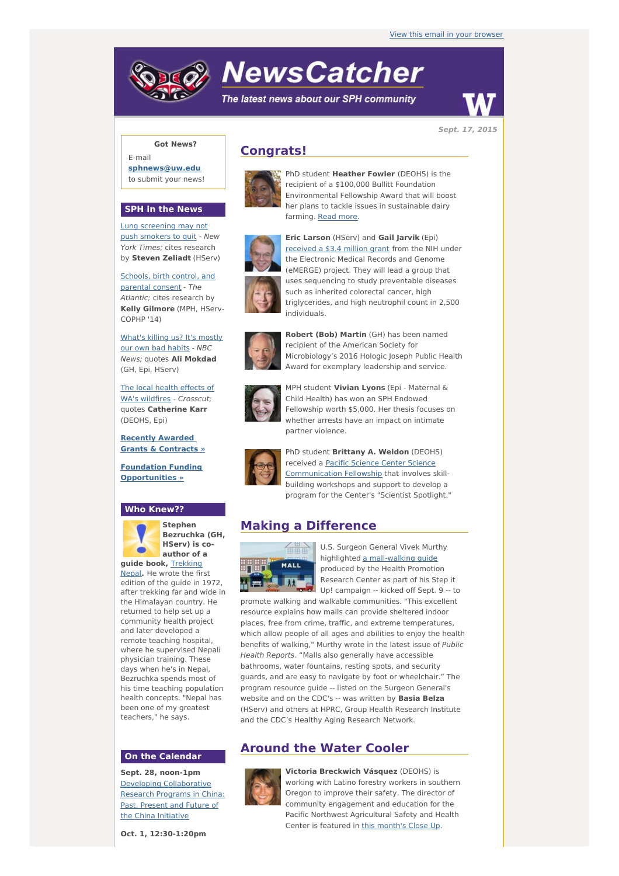# **NewsCatcher**

The latest news about our SPH community



**Sept. 17, 2015**

### **Got News?**

E-mail **[sphnews@uw.edu](mailto:sphnews@uw.edu)** to submit your news!

### **SPH in the News**

Lung [screening](http://engage.washington.edu/site/R?i=Jv7iPZhAbHSlczM9Kn-MCA) may not push smokers to quit - New York Times; cites research by **Steven Zeliadt** (HServ)

Schools, birth control, and [parental](http://engage.washington.edu/site/R?i=eLokrX4nPiWTcaHPqqBGlQ) consent - The Atlantic; cites research by **Kelly Gilmore** (MPH, HServ-COPHP '14)

[What's](http://engage.washington.edu/site/R?i=CfvKYzoSCGmRATAshccFKg) killing us? It's mostly our own bad habits - NBC News; quotes **Ali Mokdad** (GH, Epi, HServ)

The local health effects of WA's wildfires - Crosscut: quotes **Catherine Karr** (DEOHS, Epi)

**Recently Awarded Grants & [Contracts](http://engage.washington.edu/site/R?i=qcR_m9JPNUxt2uMOmTU0xA) »**

**Foundation Funding [Opportunities](http://engage.washington.edu/site/R?i=dJfUG-5wjYOtSIOCQ1sumA) »**

## **Who Knew??**



**Stephen Bezruchka (GH, HServ) is coauthor of a guide book,** [Trekking](http://engage.washington.edu/site/R?i=kFk2VEG-N7h40_NIF8RsEg)

Nepal**.** He wrote the first edition of the guide in 1972, after trekking far and wide in the Himalayan country. He returned to help set up a community health project and later developed a remote teaching hospital, where he supervised Nepali physician training. These days when he's in Nepal, Bezruchka spends most of his time teaching population health concepts. "Nepal has been one of my greatest teachers," he says.

### **On the Calendar**

**Sept. 28, noon-1pm** Developing [Collaborative](http://engage.washington.edu/site/R?i=q-ypdNHeL2uslLla0diTeQ) Research Programs in China: Past, Present and Future of the China Initiative

**Oct. 1, 12:30-1:20pm**

# **Congrats!**



PhD student **Heather Fowler** (DEOHS) is the recipient of a \$100,000 Bullitt Foundation Environmental Fellowship Award that will boost her plans to tackle issues in sustainable dairy farming. Read [more](http://engage.washington.edu/site/R?i=Adz2ZDD7XgERrGlQA6k2iQ).



**Eric Larson** (HServ) and **Gail Jarvik** (Epi) [received](http://engage.washington.edu/site/R?i=E5_BLaX2VRB7jyb010PIuA) a \$3.4 million grant from the NIH under the Electronic Medical Records and Genome (eMERGE) project. They will lead a group that uses sequencing to study preventable diseases such as inherited colorectal cancer, high triglycerides, and high neutrophil count in 2,500 individuals.



**Robert (Bob) Martin** (GH) has been named recipient of the American Society for Microbiology's 2016 Hologic Joseph Public Health Award for exemplary leadership and service.



MPH student **Vivian Lyons** (Epi - Maternal & Child Health) has won an SPH Endowed Fellowship worth \$5,000. Her thesis focuses on whether arrests have an impact on intimate partner violence.



PhD student **Brittany A. Weldon** (DEOHS) received a Pacific Science Center Science [Communication](http://engage.washington.edu/site/R?i=LlGu9FaQhMJOc8oqxxA0Zw) Fellowship that involves skillbuilding workshops and support to develop a program for the Center's "Scientist Spotlight."

## **Making a Difference**



U.S. Surgeon General Vivek Murthy highlighted a [mall-walking](http://engage.washington.edu/site/R?i=n1cmSftMdDpoHq0aAVjqvg) guide produced by the Health Promotion Research Center as part of his Step it Up! campaign -- kicked off Sept. 9 -- to

promote walking and walkable communities. "This excellent resource explains how malls can provide sheltered indoor places, free from crime, traffic, and extreme temperatures, which allow people of all ages and abilities to enjoy the health benefits of walking," Murthy wrote in the latest issue of Public Health Reports. "Malls also generally have accessible bathrooms, water fountains, resting spots, and security guards, and are easy to navigate by foot or wheelchair." The program resource guide -- listed on the Surgeon General's website and on the CDC's -- was written by **Basia Belza** (HServ) and others at HPRC, Group Health Research Institute and the CDC's Healthy Aging Research Network.

# **Around the Water Cooler**



**Victoria Breckwich Vásquez** (DEOHS) is working with Latino forestry workers in southern Oregon to improve their safety. The director of community engagement and education for the Pacific Northwest Agricultural Safety and Health Center is featured in this [month's](http://engage.washington.edu/site/R?i=SdllrWcA6S1zELUa_EZ1NA) Close Up.